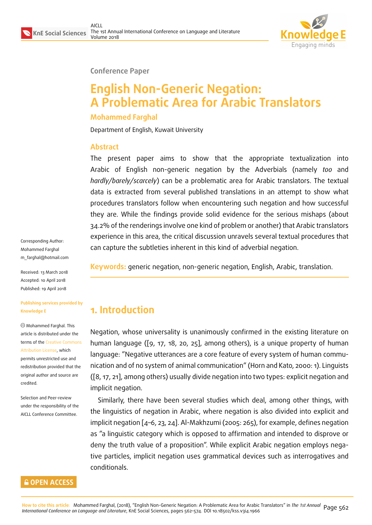

**Conference Paper**

# **English Non-Generic Negation: A Problematic Area for Arabic Translators**

#### **Mohammed Farghal**

Department of English, Kuwait University

#### **Abstract**

The present paper aims to show that the appropriate textualization into Arabic of English non-generic negation by the Adverbials (namely *too* and *hardly/barely/scarcely*) can be a problematic area for Arabic translators. The textual data is extracted from several published translations in an attempt to show what procedures translators follow when encountering such negation and how successful they are. While the findings provide solid evidence for the serious mishaps (about 34.2% of the renderings involve one kind of problem or another) that Arabic translators experience in this area, the critical discussion unravels several textual procedures that can capture the subtleties inherent in this kind of adverbial negation.

Corresponding Author: Mohammed Farghal m\_farghal@hotmail.com

Received: 13 March 2018 Accepted: 10 April 2018 [Published: 19 April 2018](mailto:m_farghal@hotmail.com)

#### **Publishing services provided by Knowledge E**

Mohammed Farghal. This article is distributed under the terms of the Creative Commons Attribution License, which permits unrestricted use and redistribution provided that the original auth[or and source are](https://creativecommons.org/licenses/by/4.0/) [credited.](https://creativecommons.org/licenses/by/4.0/)

Selection and Peer-review under the responsibility of the AICLL Conference Committee.



**Keywords:** generic negation, non-generic negation, English, Arabic, translation.

## **1. Introduction**

Negation, whose universality is unanimously confirmed in the existing literature on human language ([9, 17, 18, 20, 25], among others), is a unique property of human language: "Negative utterances are a core feature of every system of human communication and of no system of animal communication" (Horn and Kato, 2000: 1). Linguists ([8, 17, 21], among [oth](#page-11-0)[ers](#page-11-1)) [us](#page-11-2)[uall](#page-11-3)y [div](#page-12-0)ide negation into two types: explicit negation and implicit negation.

Similarly, there have been several studies which deal, among other things, with t[he](#page-11-4) [lin](#page-11-1)[gui](#page-11-5)stics of negation in Arabic, where negation is also divided into explicit and implicit negation [4–6, 23, 24]. Al-Makhzumi (2005: 265), for example, defines negation as "a linguistic category which is opposed to affirmation and intended to disprove or deny the truth value of a proposition". While explicit Arabic negation employs negative particles, im[pli](#page-10-0)[cit](#page-11-6) [ne](#page-11-7)[gati](#page-11-8)on uses grammatical devices such as interrogatives and conditionals.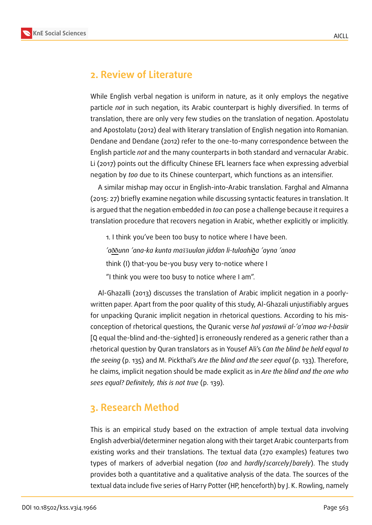

## **2. Review of Literature**

While English verbal negation is uniform in nature, as it only employs the negative particle *not* in such negation, its Arabic counterpart is highly diversified. In terms of translation, there are only very few studies on the translation of negation. Apostolatu and Apostolatu (2012) deal with literary translation of English negation into Romanian. Dendane and Dendane (2012) refer to the one-to-many correspondence between the English particle *not* and the many counterparts in both standard and vernacular Arabic. Li (2017) points out the difficulty Chinese EFL learners face when expressing adverbial negation by *too* due to its Chinese counterpart, which functions as an intensifier.

A similar mishap may occur in English-into-Arabic translation. Farghal and Almanna (2015: 27) briefly examine negation while discussing syntactic features in translation. It is argued that the negation embedded in *too* can pose a challenge because it requires a translation procedure that recovers negation in Arabic, whether explicitly or implicitly.

1. I think you've been too busy to notice where I have been. *'a*ðð*unn 'ana-ka kunta ma* ̆ ̆*uulan jiddan li-tulaah . i*ð*a 'ayna 'anaa* think (I) that-you be-you busy very to-notice where I "I think you were too busy to notice where I am".

Al-Ghazalli (2013) discusses the translation of Arabic implicit negation in a poorlywritten paper. Apart from the poor quality of this study, Al-Ghazali unjustifiably argues for unpacking Quranic implicit negation in rhetorical questions. According to his misconception of rhetorical questions, the Quranic verse *hal yastawii al-'a'maa wa-l-bas . iir* [Q equal the-blind and-the-sighted] is erroneously rendered as a generic rather than a rhetorical question by Quran translators as in Yousef Ali's *Can the blind be held equal to the seeing* (p. 135) and M. Pickthal's *Are the blind and the seer equal* (p. 133). Therefore, he claims, implicit negation should be made explicit as in *Are the blind and the one who sees equal? Definitely, this is not true* (p. 139).

## **3. Research Method**

This is an empirical study based on the extraction of ample textual data involving English adverbial/determiner negation along with their target Arabic counterparts from existing works and their translations. The textual data (270 examples) features two types of markers of adverbial negation (*too* and *hardly*/*scarcely*/*barely*). The study provides both a quantitative and a qualitative analysis of the data. The sources of the textual data include five series of Harry Potter (HP, henceforth) by J. K. Rowling, namely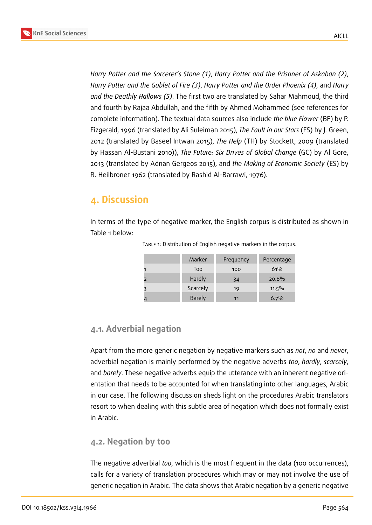

*Harry Potter and the Sorcerer's Stone (1)*, *Harry Potter and the Prisoner of Askaban (2)*, *Harry Potter and the Goblet of Fire (3)*, *Harry Potter and the Order Phoenix (4)*, and *Harry and the Deathly Hallows (5)*. The first two are translated by Sahar Mahmoud, the third and fourth by Rajaa Abdullah, and the fifth by Ahmed Mohammed (see references for complete information). The textual data sources also include *the blue Flower* (BF) by P. Fizgerald, 1996 (translated by Ali Suleiman 2015), *The Fault in our Stars* (FS) by J. Green, 2012 (translated by Baseel Intwan 2015), *The Help* (TH) by Stockett, 2009 (translated by Hassan Al-Bustani 2010)), *The Future: Six Drives of Global Change* (GC) by Al Gore, 2013 (translated by Adnan Gergeos 2015), and *the Making of Economic Society* (ES) by R. Heilbroner 1962 (translated by Rashid Al-Barrawi, 1976).

### **4. Discussion**

In terms of the type of negative marker, the English corpus is distributed as shown in Table 1 below:

|   | Marker        | Frequency | Percentage |
|---|---------------|-----------|------------|
|   | Too           | 100       | 61%        |
|   | Hardly        | 34        | 20.8%      |
| 3 | Scarcely      | 19        | $11.5\%$   |
|   | <b>Barely</b> | 11        | 6.7%       |

TABLE 1: Distribution of English negative markers in the corpus.

#### **4.1. Adverbial negation**

Apart from the more generic negation by negative markers such as *not*, *no* and *never*, adverbial negation is mainly performed by the negative adverbs *too*, *hardly*, *scarcely*, and *barely*. These negative adverbs equip the utterance with an inherent negative orientation that needs to be accounted for when translating into other languages, Arabic in our case. The following discussion sheds light on the procedures Arabic translators resort to when dealing with this subtle area of negation which does not formally exist in Arabic.

#### **4.2. Negation by too**

The negative adverbial *too*, which is the most frequent in the data (100 occurrences), calls for a variety of translation procedures which may or may not involve the use of generic negation in Arabic. The data shows that Arabic negation by a generic negative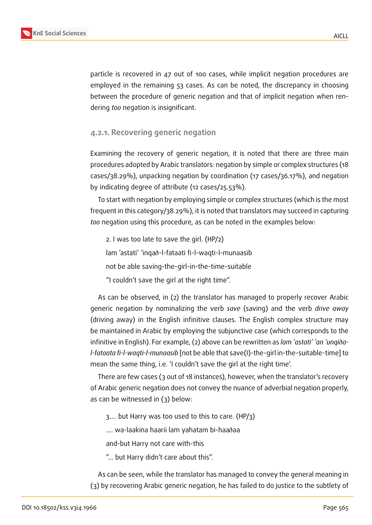

particle is recovered in 47 out of 100 cases, while implicit negation procedures are employed in the remaining 53 cases. As can be noted, the discrepancy in choosing between the procedure of generic negation and that of implicit negation when rendering *too* negation is insignificant.

#### **4.2.1. Recovering generic negation**

Examining the recovery of generic negation, it is noted that there are three main procedures adopted by Arabic translators: negation by simple or complex structures (18 cases/38.29%), unpacking negation by coordination (17 cases/36.17%), and negation by indicating degree of attribute (12 cases/25.53%).

To start with negation by employing simple or complex structures (which is the most frequent in this category/38.29%), it is noted that translators may succeed in capturing *too* negation using this procedure, as can be noted in the examples below:

2. I was too late to save the girl. (HP/2) lam 'astati' 'inqað-l-fataati fi-l-waqti-l-munaasib not be able saving-the-girl-in-the-time-suitable "I couldn't save the girl at the right time".

As can be observed, in (2) the translator has managed to properly recover Arabic generic negation by nominalizing the verb *save* (saving) and the verb *drive away* (driving away) in the English infinitive clauses. The English complex structure may be maintained in Arabic by employing the subjunctive case (which corresponds to the infinitive in English). For example, (2) above can be rewritten as *lam 'astati' 'an 'unqi*ð*al-fataata fi-l-waqti-l-munaasib* [not be able that save(I)-the-girl in-the-suitable-time] to mean the same thing, i.e. 'I couldn't save the girl at the right time'.

There are few cases (3 out of 18 instances), however, when the translator's recovery of Arabic generic negation does not convey the nuance of adverbial negation properly, as can be witnessed in (3) below:

3.... but Harry was too used to this to care. (HP/3)

.... wa-laakina haarii lam yahatam bi-haaðaa

and-but Harry not care with-this

"... but Harry didn't care about this".

As can be seen, while the translator has managed to convey the general meaning in (3) by recovering Arabic generic negation, he has failed to do justice to the subtlety of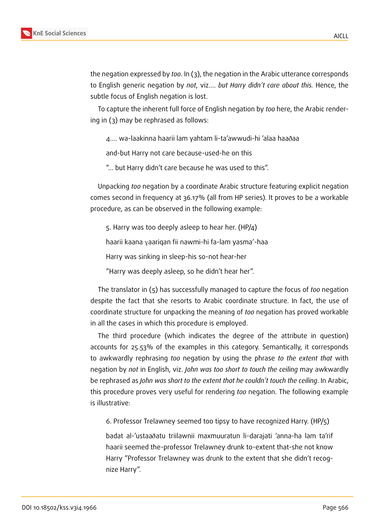the negation expressed by *too*. In (3), the negation in the Arabic utterance corresponds to English generic negation by *not*, viz.... *but Harry didn't care about this.* Hence, the subtle focus of English negation is lost.

To capture the inherent full force of English negation by *too* here, the Arabic rendering in (3) may be rephrased as follows:

4.... wa-laakinna haarii lam yahtam li-ta'awwudi-hi 'alaa haaðaa

and-but Harry not care because-used-he on this

"... but Harry didn't care because he was used to this".

Unpacking *too* negation by a coordinate Arabic structure featuring explicit negation comes second in frequency at 36.17% (all from HP series). It proves to be a workable procedure, as can be observed in the following example:

5. Harry was too deeply asleep to hear her. (HP/4)

haarii kaana yaariqan fii nawmi-hi fa-lam yasma'-haa

Harry was sinking in sleep-his so-not hear-her

"Harry was deeply asleep, so he didn't hear her".

The translator in (5) has successfully managed to capture the focus of *too* negation despite the fact that she resorts to Arabic coordinate structure. In fact, the use of coordinate structure for unpacking the meaning of *too* negation has proved workable in all the cases in which this procedure is employed.

The third procedure (which indicates the degree of the attribute in question) accounts for 25.53% of the examples in this category. Semantically, it corresponds to awkwardly rephrasing *too* negation by using the phrase *to the extent that* with negation by *not* in English, viz. *John was too short to touch the ceiling* may awkwardly be rephrased as *John was short to the extent that he couldn't touch the ceiling*. In Arabic, this procedure proves very useful for rendering *too* negation. The following example is illustrative:

6. Professor Trelawney seemed too tipsy to have recognized Harry. (HP/5)

badat al-'ustaaðatu triilawnii maxmuuratun li-darajati 'anna-ha lam ta'rif haarii seemed the-professor Trelawney drunk to-extent that-she not know Harry "Professor Trelawney was drunk to the extent that she didn't recognize Harry".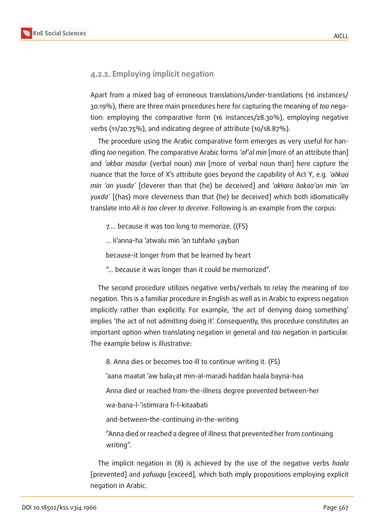#### **4.2.2. Employing implicit negation**

Apart from a mixed bag of erroneous translations/under-translations (16 instances/ 30.19%), there are three main procedures here for capturing the meaning of *too* negation: employing the comparative form (16 instances/28.30%), employing negative verbs (11/20.75%), and indicating degree of attribute (10/18.87%).

The procedure using the Arabic comparative form emerges as very useful for handling *too* negation. The comparative Arabic forms *'af'al min* [more of an attribute than] and *'akbar masdar* (verbal noun) *min* [more of verbal noun than] here capture the nuance that the force of X's attribute goes beyond the capability of Act Y, e.g. *'a*ð*kaa min 'an yuxda'* [cleverer than that (he) be deceived] and 'aktara ðakaa'an min 'an *yuxda'* [(has) more cleverness than that (he) be deceived] which both idiomatically translate into *Ali is too clever to deceive*. Following is an example from the corpus:

7.... because it was too long to memorize. ((FS)

... li'anna-ha 'atwalu min 'an tuhfað*a* <sub>Y</sub>ayban

because-it longer from that be learned by heart

"… because it was longer than it could be memorized".

The second procedure utilizes negative verbs/verbals to relay the meaning of *too* negation. This is a familiar procedure in English as well as in Arabic to express negation implicitly rather than explicitly. For example, 'the act of denying doing something' implies 'the act of not admitting doing it'. Consequently, this procedure constitutes an important option when translating negation in general and *too* negation in particular. The example below is illustrative:

8. Anna dies or becomes too ill to continue writing it. (FS)

'aana maatat 'aw bala $_{\rm V}$ at min-al-maradi haddan haala bayna-haa

Anna died or reached from-the-illness degree prevented between-her

wa-bana-l-'istimrara fi-l-kitaabati

and-between-the-continuing in-the-writing

"Anna died or reached a degree of illness that prevented her from continuing writing".

The implicit negation in (8) is achieved by the use of the negative verbs *h . aala* [prevented] and *yafuuqu* [exceed], which both imply propositions employing explicit negation in Arabic.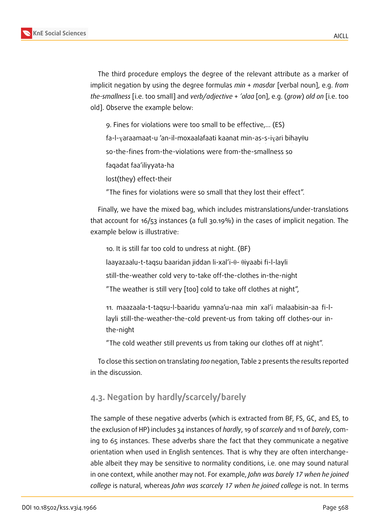The third procedure employs the degree of the relevant attribute as a marker of implicit negation by using the degree formulas *min* + *mas dar* [verbal noun], e.g. *from . the-smallness* [i.e. too small] and *verb/adjective* + *'alaa* [on], e.g. (*grow*) *old on* [i.e. too old]. Observe the example below:

9. Fines for violations were too small to be effective,... (ES)

 $\epsilon$ fa-l- $_{\textrm{Y}}$ araamaat-u 'an-il-moxaalafaati kaanat min-as-s-i $_{\textrm{Y}}$ ari bihay $\theta$ u

so-the-fines from-the-violations were from-the-smallness so

faqadat faa'iliyyata-ha

lost(they) effect-their

"The fines for violations were so small that they lost their effect".

Finally, we have the mixed bag, which includes mistranslations/under-translations that account for 16/53 instances (a full 30.19%) in the cases of implicit negation. The example below is illustrative:

10. It is still far too cold to undress at night. (BF)

laayazaalu-t-taqsu baaridan jiddan li-xal'i- $\theta$ -  $\theta$ iyaabi fi-l-layli

still-the-weather cold very to-take off-the-clothes in-the-night

"The weather is still very [too] cold to take off clothes at night",

11. maazaala-t-taqsu-l-baaridu yamna'u-naa min xal'i malaabisin-aa fi-llayli still-the-weather-the-cold prevent-us from taking off clothes-our inthe-night

"The cold weather still prevents us from taking our clothes off at night".

To close this section on translating *too* negation, Table 2 presents the results reported in the discussion.

## **4.3. Negation by hardly/scarcely/barely**

The sample of these negative adverbs (which is extracted from BF, FS, GC, and ES, to the exclusion of HP) includes 34 instances of *hardly*, 19 of *scarcely* and 11 of *barely*, coming to 65 instances. These adverbs share the fact that they communicate a negative orientation when used in English sentences. That is why they are often interchangeable albeit they may be sensitive to normality conditions, i.e. one may sound natural in one context, while another may not. For example, *John was barely 17 when he joined college* is natural, whereas *John was scarcely 17 when he joined college* is not. In terms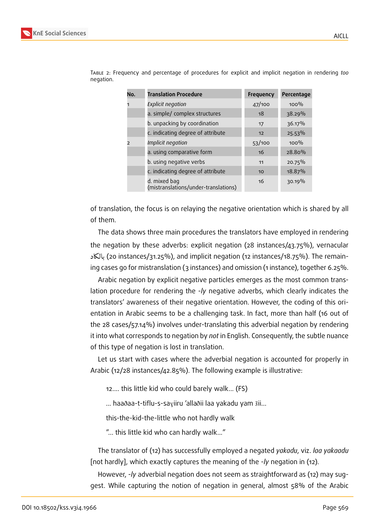

| No.            | <b>Translation Procedure</b>                         | <b>Frequency</b> | Percentage |
|----------------|------------------------------------------------------|------------------|------------|
| 1              | <b>Explicit negation</b>                             | 47/100           | $100\%$    |
|                | a. simple/ complex structures                        | 18               | 38.29%     |
|                | b. unpacking by coordination                         | 17               | 36.17%     |
|                | c. indicating degree of attribute                    | 12               | 25.53%     |
| $\overline{z}$ | Implicit negation                                    | 53/100           | $100\%$    |
|                | a. using comparative form                            | 16               | 28.80%     |
|                | b. using negative verbs                              | 11               | 20.75%     |
|                | c. indicating degree of attribute                    | 10               | 18.87%     |
|                | d. mixed bag<br>(mistranslations/under-translations) | 16               | 30.19%     |

Table 2: Frequency and percentage of procedures for explicit and implicit negation in rendering *too* negation.

of translation, the focus is on relaying the negative orientation which is shared by all of them.

The data shows three main procedures the translators have employed in rendering the negation by these adverbs: explicit negation (28 instances/43.75%), vernacular بالكاد (20 instances/31.25%), and implicit negation (12 instances/18.75%). The remain-. ing cases go for mistranslation (3 instances) and omission (1 instance), together 6.25%.

Arabic negation by explicit negative particles emerges as the most common translation procedure for rendering the -*ly* negative adverbs, which clearly indicates the translators' awareness of their negative orientation. However, the coding of this orientation in Arabic seems to be a challenging task. In fact, more than half (16 out of the 28 cases/57.14%) involves under-translating this adverbial negation by rendering it into what corresponds to negation by *not* in English. Consequently, the subtle nuance of this type of negation is lost in translation.

Let us start with cases where the adverbial negation is accounted for properly in Arabic (12/28 instances/42.85%). The following example is illustrative:

12.... this little kid who could barely walk... (FS)

 $\ldots$  haaðaa-t-tiflu-s-sa $_{\rm Y}$ iiru 'allaðii laa yakadu yam  $\rm iii...$ 

this-the-kid-the-little who not hardly walk

"... this little kid who can hardly walk..."

The translator of (12) has successfully employed a negated *yakadu*, viz. *laa yakaadu* [not hardly], which exactly captures the meaning of the -*ly* negation in (12).

However, -*ly* adverbial negation does not seem as straightforward as (12) may suggest. While capturing the notion of negation in general, almost 58% of the Arabic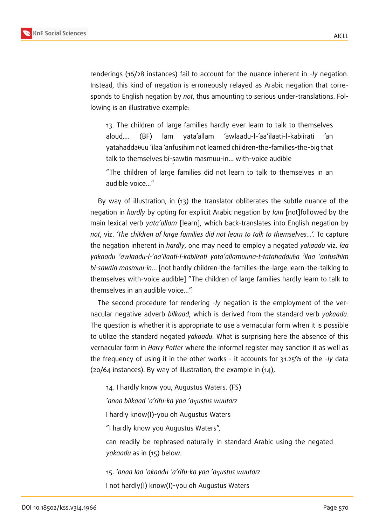

renderings (16/28 instances) fail to account for the nuance inherent in -*ly* negation. Instead, this kind of negation is erroneously relayed as Arabic negation that corresponds to English negation by *not*, thus amounting to serious under-translations. Following is an illustrative example:

13. The children of large families hardly ever learn to talk to themselves aloud,... (BF) lam yata'allam 'awlaadu-l-'aa'ilaati-l-kabiirati 'an  $y$ atahadda $\theta$ uu 'ilaa 'anfusihim not learned children-the-families-the-big that talk to themselves bi-sawtin masmuu-in... with-voice audible .

"The children of large families did not learn to talk to themselves in an audible voice..."

By way of illustration, in (13) the translator obliterates the subtle nuance of the negation in *hardly* by opting for explicit Arabic negation by *lam* [not]followed by the main lexical verb *yata'allam* [learn], which back-translates into English negation by *not*, viz. *'The children of large families did not learn to talk to themselves...*'. To capture the negation inherent in *hardly*, one may need to employ a negated *yakaadu* viz. *laa*  $y$ akaadu *'awlaadu-l-'aa'ilaati-l-kabiirati yata'allamuuna-t-tatahaddu* $\theta$ *a 'ilaa 'anfusihim bi-s . awtin masmuu-in*... [not hardly children-the-families-the-large learn-the-talking to themselves with-voice audible] "The children of large families hardly learn to talk to themselves in an audible voice...".

The second procedure for rendering -*ly* negation is the employment of the vernacular negative adverb *bilkaad*, which is derived from the standard verb *yakaadu*. The question is whether it is appropriate to use a vernacular form when it is possible to utilize the standard negated *yakaadu*. What is surprising here the absence of this vernacular form in *Harry Potter* where the informal register may sanction it as well as the frequency of using it in the other works - it accounts for 31.25% of the -*ly* data (20/64 instances). By way of illustration, the example in (14),

14. I hardly know you, Augustus Waters. (FS) *'anaa bilkaad 'a'rifu-ka yaa 'a*G*ust . us wuutarz* I hardly know(I)-you oh Augustus Waters "I hardly know you Augustus Waters", can readily be rephrased naturally in standard Arabic using the negated *yakaadu* as in (15) below.

15. *'anaa laa 'akaadu 'a'rifu-ka yaa 'a*G*ust . us wuutarz* I not hardly(I) know(I)-you oh Augustus Waters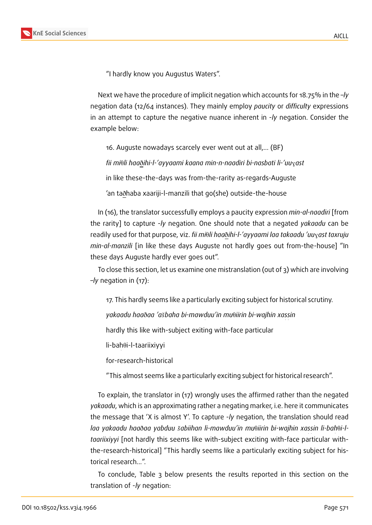



"I hardly know you Augustus Waters".

Next we have the procedure of implicit negation which accounts for 18.75% in the –*ly* negation data (12/64 instances). They mainly employ *paucity* or *difficulty* expressions in an attempt to capture the negative nuance inherent in -*ly* negation. Consider the example below:

16. Auguste nowadays scarcely ever went out at all,... (BF)

*fii mi*T*li haa*ð*ihi-l-'ayyaami kaana min-n-naadiri bi-nasbati li-'uu*G*ast*

in like these-the-days was from-the-rarity as-regards-Auguste

'an taðhaba xaariji-l-manzili that go(she) outside-the-house

In (16), the translator successfully employs a paucity expression *min-al-naadiri* [from the rarity] to capture -*ly* negation. One should note that a negated *yakaadu* can be readily used for that purpose, viz. *fii mi* $\theta$ li haað*ihi-l-'ayyaami laa takaadu 'uu*<sub>X</sub>ast taxruju *min-al-manzili* [in like these days Auguste not hardly goes out from-the-house] "In these days Auguste hardly ever goes out".

To close this section, let us examine one mistranslation (out of 3) which are involving –*ly* negation in (17):

17. This hardly seems like a particularly exciting subject for historical scrutiny.

 $y$ akaadu haa $\delta$ aa 'a $\delta$ baha bi-mawduu'in mu $\theta$ iirin bi-wajhin xassin

hardly this like with-subject exiting with-face particular

 $\textsf{li-bah0i-l-ta}$ ariixiyyi

for-research-historical

"This almost seems like a particularly exciting subject for historical research".

To explain, the translator in (17) wrongly uses the affirmed rather than the negated *yakaadu*, which is an approximating rather a negating marker, i.e. here it communicates the message that 'X is almost Y'. To capture -*ly* negation, the translation should read laa yakaadu haa $\delta$ aa yabduu šabiihan li-mawduu'in mu $\theta$ iirin bi-wajhin xassin li-bah $\theta$ i-l*taariixiyyi* [not hardly this seems like with-subject exciting with-face particular withthe-research-historical] "This hardly seems like a particularly exciting subject for historical research...".

To conclude, Table 3 below presents the results reported in this section on the translation of -*ly* negation: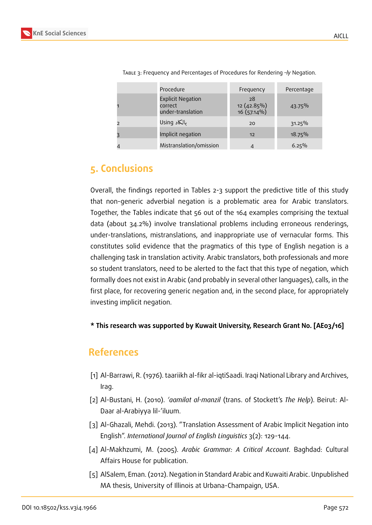| Procedure                                                | Frequency                          | Percentage |
|----------------------------------------------------------|------------------------------------|------------|
| <b>Explicit Negation</b><br>correct<br>under-translation | 28<br>12 (42.85%)<br>$16(57.14\%)$ | 43.75%     |
| بالكاد Using                                             | 20                                 | 31.25%     |
| Implicit negation                                        | 12                                 | 18.75%     |
| Mistranslation/omission                                  |                                    | 6.25%      |

Table 3: Frequency and Percentages of Procedures for Rendering *–ly* Negation.

## **5. Conclusions**

Overall, the findings reported in Tables 2-3 support the predictive title of this study that non-generic adverbial negation is a problematic area for Arabic translators. Together, the Tables indicate that 56 out of the 164 examples comprising the textual data (about 34.2%) involve translational problems including erroneous renderings, under-translations, mistranslations, and inappropriate use of vernacular forms. This constitutes solid evidence that the pragmatics of this type of English negation is a challenging task in translation activity. Arabic translators, both professionals and more so student translators, need to be alerted to the fact that this type of negation, which formally does not exist in Arabic (and probably in several other languages), calls, in the first place, for recovering generic negation and, in the second place, for appropriately investing implicit negation.

**\* This research was supported by Kuwait University, Research Grant No. [AE03/16]**

## **References**

- [1] Al-Barrawi, R. (1976). taariikh al-fikr al-iqtiSaadi. Iraqi National Library and Archives, Irag.
- [2] Al-Bustani, H. (2010). *'aamilat al-manzil* (trans. of Stockett's *The Help*). Beirut: Al-Daar al-Arabiyya lil-'iluum.
- [3] Al-Ghazali, Mehdi. (2013). "Translation Assessment of Arabic Implicit Negation into English". *International Journal of English Linguistics* 3(2): 129-144.
- <span id="page-10-0"></span>[4] Al-Makhzumi, M. (2005). *Arabic Grammar: A Critical Account*. Baghdad: Cultural Affairs House for publication.
- [5] AlSalem, Eman. (2012). Negation in Standard Arabic and Kuwaiti Arabic. Unpublished MA thesis, University of Illinois at Urbana-Champaign, USA.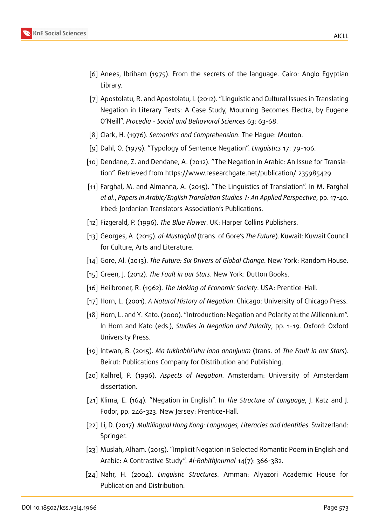

- <span id="page-11-6"></span>[6] Anees, Ibriham (1975). From the secrets of the language. Cairo: Anglo Egyptian Library.
- [7] Apostolatu, R. and Apostolatu, I. (2012). "Linguistic and Cultural Issues in Translating Negation in Literary Texts: A Case Study, Mourning Becomes Electra, by Eugene O'Neill". *Procedia - Social and Behavioral Sciences* 63: 63-68.
- <span id="page-11-4"></span>[8] Clark, H. (1976). *Semantics and Comprehension*. The Hague: Mouton.
- <span id="page-11-0"></span>[9] Dahl, O. (1979). "Typology of Sentence Negation". *Linguistics* 17: 79-106.
- [10] Dendane, Z. and Dendane, A. (2012). "The Negation in Arabic: An Issue for Translation". Retrieved from https://www.researchgate.net/publication/ 235985429
- [11] Farghal, M. and Almanna, A. (2015). "The Linguistics of Translation". In M. Farghal *et al*., *Papers in Arabic/English Translation Studies 1: An Applied Perspective*, pp. 17-40. Irbed: Jordanian Translators Association's Publications.
- [12] Fizgerald, P. (1996). *The Blue Flower*. UK: Harper Collins Publishers.
- [13] Georges, A. (2015). *al-Mustaqbal* (trans. of Gore's *The Future*). Kuwait: Kuwait Council for Culture, Arts and Literature.
- [14] Gore, Al. (2013). *The Future: Six Drivers of Global Change.* New York: Random House*.*
- [15] Green, J. (2012). *The Fault in our Stars*. New York: Dutton Books.
- [16] Heilbroner, R. (1962). *The Making of Economic Society*. USA: Prentice-Hall.
- <span id="page-11-1"></span>[17] Horn, L. (2001). *A Natural History of Negation*. Chicago: University of Chicago Press.
- <span id="page-11-2"></span>[18] Horn, L. and Y. Kato. (2000). "Introduction: Negation and Polarity at the Millennium". In Horn and Kato (eds.), *Studies in Negation and Polarity*, pp. 1-19. Oxford: Oxford University Press.
- [19] Intwan, B. (2015). *Ma tukhabbi'uhu lana annujuum* (trans. of *The Fault in our Stars*). Beirut: Publications Company for Distribution and Publishing.
- <span id="page-11-3"></span>[20] Kalhrel, P. (1996). *Aspects of Negation*. Amsterdam: University of Amsterdam dissertation.
- <span id="page-11-5"></span>[21] Klima, E. (164). "Negation in English". In *The Structure of Language*, J. Katz and J. Fodor, pp. 246-323. New Jersey: Prentice-Hall.
- [22] Li, D. (2017). *Multilingual Hong Kong: Languages, Literacies and Identities*. Switzerland: Springer.
- <span id="page-11-7"></span>[23] Muslah, Alham. (2015). "Implicit Negation in Selected Romantic Poem in English and Arabic: A Contrastive Study". *Al-BahithJournal* 14(7): 366-382.
- <span id="page-11-8"></span>[24] Nahr, H. (2004). *Linguistic Structures*. Amman: Alyazori Academic House for Publication and Distribution.